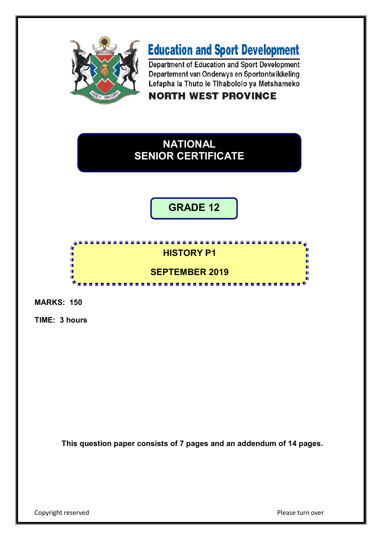

# **Education and Sport Development**

Department of Education and Sport Development Departement van Onderwys en Sportontwikkeling Lefapha la Thuto le Tihabololo ya Metshameko **NORTH WEST PROVINCE** 

# **NATIONAL SENIOR CERTIFICATE**

**GRADE 12**

### **HISTORY P1**

## **SEPTEMBER 2019**

----------------

**MARKS: 150**

r n. 'n T.

**TIME: 3 hours**

**This question paper consists of 7 pages and an addendum of 14 pages.**

Copyright reserved **Please turn over Please turn over**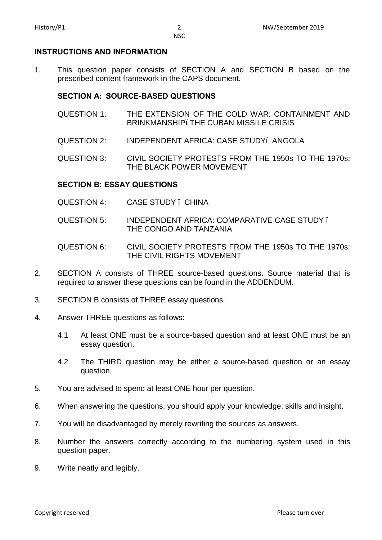#### **INSTRUCTIONS AND INFORMATION**

1. This question paper consists of SECTION A and SECTION B based on the prescribed content framework in the CAPS document.

#### **SECTION A: SOURCE-BASED QUESTIONS**

- QUESTION 1: THE EXTENSION OF THE COLD WAR: CONTAINMENT AND BRINKMANSHIP. THE CUBAN MISSILE CRISIS
- QUESTION 2: INDEPENDENT AFRICA: CASE STUDY– ANGOLA

QUESTION 3: CIVIL SOCIETY PROTESTS FROM THE 1950s TO THE 1970s: THE BLACK POWER MOVEMENT

#### **SECTION B: ESSAY QUESTIONS**

- QUESTION 4: CASE STUDY CHINA
- QUESTION 5: INDEPENDENT AFRICA: COMPARATIVE CASE STUDY THE CONGO AND TANZANIA
- QUESTION 6: CIVIL SOCIETY PROTESTS FROM THE 1950s TO THE 1970s: THE CIVIL RIGHTS MOVEMENT
- 2. SECTION A consists of THREE source-based questions. Source material that is required to answer these questions can be found in the ADDENDUM.
- 3. SECTION B consists of THREE essay questions.
- 4. Answer THREE questions as follows:
	- 4.1 At least ONE must be a source-based question and at least ONE must be an essay question.
	- 4.2 The THIRD question may be either a source-based question or an essay question.
- 5. You are advised to spend at least ONE hour per question.
- 6. When answering the questions, you should apply your knowledge, skills and insight.
- 7. You will be disadvantaged by merely rewriting the sources as answers.
- 8. Number the answers correctly according to the numbering system used in this question paper.
- 9. Write neatly and legibly.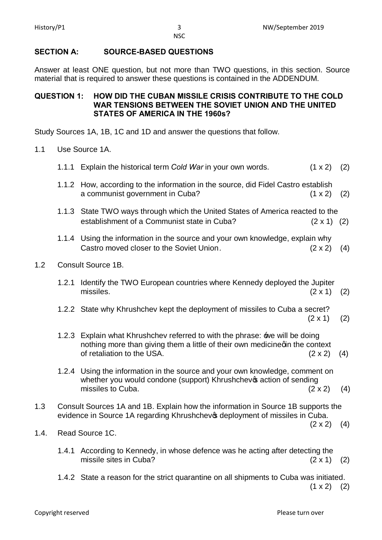### **SECTION A: SOURCE-BASED QUESTIONS**

Answer at least ONE question, but not more than TWO questions, in this section. Source material that is required to answer these questions is contained in the ADDENDUM.

#### **QUESTION 1: HOW DID THE CUBAN MISSILE CRISIS CONTRIBUTE TO THE COLD WAR TENSIONS BETWEEN THE SOVIET UNION AND THE UNITED STATES OF AMERICA IN THE 1960s?**

Study Sources 1A, 1B, 1C and 1D and answer the questions that follow.

1.1 Use Source 1A.

 $1.2$ 

|                           |       | 1.1.1 Explain the historical term Cold War in your own words.                                                                                                                            | $(1 \times 2)$ (2) |     |  |  |  |
|---------------------------|-------|------------------------------------------------------------------------------------------------------------------------------------------------------------------------------------------|--------------------|-----|--|--|--|
|                           |       | 1.1.2 How, according to the information in the source, did Fidel Castro establish<br>a communist government in Cuba?                                                                     | $(1 \times 2)$     | (2) |  |  |  |
|                           |       | 1.1.3 State TWO ways through which the United States of America reacted to the<br>establishment of a Communist state in Cuba?                                                            | $(2 \times 1)$ (2) |     |  |  |  |
|                           |       | 1.1.4 Using the information in the source and your own knowledge, explain why<br>Castro moved closer to the Soviet Union.                                                                | $(2 \times 2)$     | (4) |  |  |  |
| <b>Consult Source 1B.</b> |       |                                                                                                                                                                                          |                    |     |  |  |  |
|                           | 1.2.1 | Identify the TWO European countries where Kennedy deployed the Jupiter<br>missiles.                                                                                                      | $(2 \times 1)$     | (2) |  |  |  |
|                           |       | 1.2.2 State why Khrushchev kept the deployment of missiles to Cuba a secret?                                                                                                             | $(2 \times 1)$     | (2) |  |  |  |
|                           |       | 1.2.3 Explain what Khrushchev referred to with the phrase: we will be doing<br>nothing more than giving them a little of their own medicinegin the context<br>of retaliation to the USA. | $(2 \times 2)$     | (4) |  |  |  |
|                           |       | 1.2.4 Using the information in the source and your own knowledge, comment on                                                                                                             |                    |     |  |  |  |

- whether you would condone (support) Khrushchevos action of sending missiles to Cuba.  $(2 \times 2)$  (4)
- 1.3 Consult Sources 1A and 1B. Explain how the information in Source 1B supports the evidence in Source 1A regarding Khrushchev & deployment of missiles in Cuba.

 $(2 \times 2)$  (4)

- 1.4. Read Source 1C.
	- 1.4.1 According to Kennedy, in whose defence was he acting after detecting the missile sites in Cuba?  $(2 \times 1)$  (2)
	- 1.4.2 State a reason for the strict quarantine on all shipments to Cuba was initiated.  $(1 \times 2)$  (2)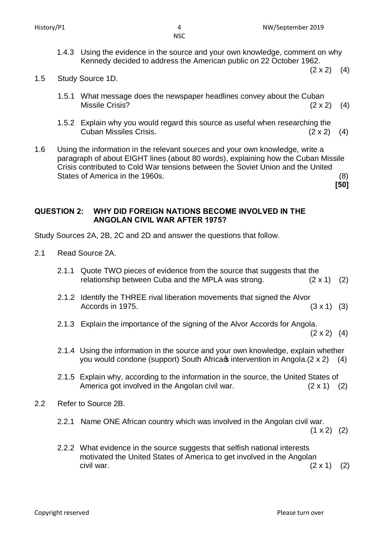1.4.3 Using the evidence in the source and your own knowledge, comment on why Kennedy decided to address the American public on 22 October 1962.

**[50]**

1.5 Study Source 1D.

- 1.5.1 What message does the newspaper headlines convey about the Cuban Missile Crisis?  $(2 \times 2)$  (4)
- 1.5.2 Explain why you would regard this source as useful when researching the Cuban Missiles Crisis. (2 x 2) (4)
- 1.6 Using the information in the relevant sources and your own knowledge, write a paragraph of about EIGHT lines (about 80 words), explaining how the Cuban Missile Crisis contributed to Cold War tensions between the Soviet Union and the United States of America in the 1960s. (8)

**QUESTION 2: WHY DID FOREIGN NATIONS BECOME INVOLVED IN THE ANGOLAN CIVIL WAR AFTER 1975?**

Study Sources 2A, 2B, 2C and 2D and answer the questions that follow.

- 2.1 Read Source 2A.
	- 2.1.1 Quote TWO pieces of evidence from the source that suggests that the relationship between Cuba and the MPLA was strong.  $(2 \times 1)$  (2)
	- 2.1.2 Identify the THREE rival liberation movements that signed the Alvor Accords in 1975.  $(3 \times 1)$  (3)
	- 2.1.3 Explain the importance of the signing of the Alvor Accords for Angola.

 $(2 \times 2)$   $(4)$ 

- 2.1.4 Using the information in the source and your own knowledge, explain whether you would condone (support) South Africa $\phi$  intervention in Angola.(2 x 2) (4)
- 2.1.5 Explain why, according to the information in the source, the United States of America got involved in the Angolan civil war.  $(2 \times 1)$  (2)
- 2.2 Refer to Source 2B.
	- 2.2.1 Name ONE African country which was involved in the Angolan civil war.

 $(1 \times 2)$  (2)

2.2.2 What evidence in the source suggests that selfish national interests motivated the United States of America to get involved in the Angolan civil war.  $(2 \times 1)$  (2)

**Copyright reserved Construction Construction Copyright reserved** Please turn over

 $(2 \times 2)$  (4)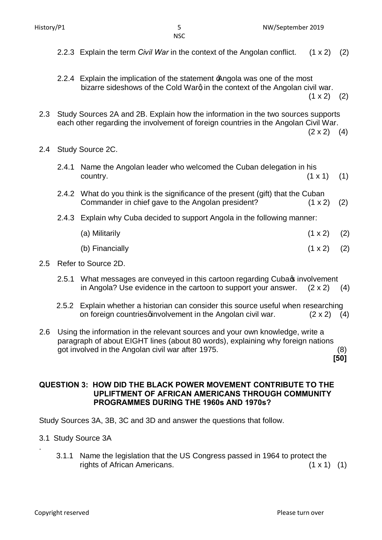- **NSC**
- 2.2.3 Explain the term *Civil War* in the context of the Angolan conflict. (1 x 2) (2)
- 2.2.4 Explain the implication of the statement  $\triangle$ ngola was one of the most bizarre sideshows of the Cold Warg in the context of the Angolan civil war.  $(1 \times 2)$  (2)
	-
- 2.3 Study Sources 2A and 2B. Explain how the information in the two sources supports each other regarding the involvement of foreign countries in the Angolan Civil War.

 $(2 \times 2)$  (4)

- 2.4 Study Source 2C.
	- 2.4.1 Name the Angolan leader who welcomed the Cuban delegation in his  $\text{country.} \tag{1 x 1}$  (1)
	- 2.4.2 What do you think is the significance of the present (gift) that the Cuban Commander in chief gave to the Angolan president? (1 x 2) (2)
	- 2.4.3 Explain why Cuba decided to support Angola in the following manner:
		- (a) Militarily  $(1 \times 2)$   $(2)$ (b) Financially  $(1 \times 2)$  (2)
- 2.5 Refer to Source 2D.
	- 2.5.1 What messages are conveyed in this cartoon regarding Cuba involvement in Angola? Use evidence in the cartoon to support your answer.  $(2 \times 2)$  (4)
	- 2.5.2 Explain whether a historian can consider this source useful when researching on foreign countriesginvolvement in the Angolan civil war.  $(2 \times 2)$  (4)
- 2.6 Using the information in the relevant sources and your own knowledge, write a paragraph of about EIGHT lines (about 80 words), explaining why foreign nations got involved in the Angolan civil war after 1975. (8)  **[50]**

**QUESTION 3: HOW DID THE BLACK POWER MOVEMENT CONTRIBUTE TO THE UPLIFTMENT OF AFRICAN AMERICANS THROUGH COMMUNITY PROGRAMMES DURING THE 1960s AND 1970s?**

Study Sources 3A, 3B, 3C and 3D and answer the questions that follow.

- 3.1 Study Source 3A
	- 3.1.1 Name the legislation that the US Congress passed in 1964 to protect the rights of African Americans. (1 x 1) (1)

.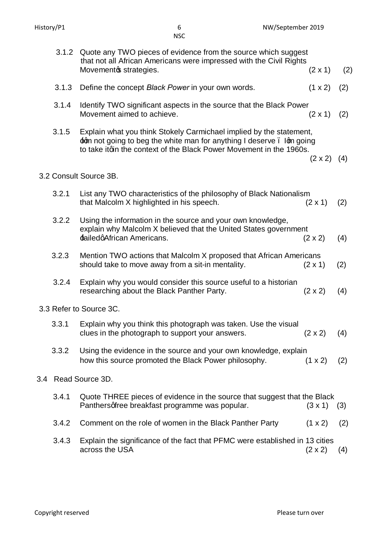|                         | 3.1.2 | Quote any TWO pieces of evidence from the source which suggest<br>that not all African Americans were impressed with the Civil Rights<br>Movementos strategies.                                                         | $(2 \times 1)$     | (2) |  |  |  |
|-------------------------|-------|-------------------------------------------------------------------------------------------------------------------------------------------------------------------------------------------------------------------------|--------------------|-----|--|--|--|
|                         | 3.1.3 | Define the concept Black Power in your own words.                                                                                                                                                                       | (1 x 2)            | (2) |  |  |  |
|                         | 3.1.4 | Identify TWO significant aspects in the source that the Black Power<br>Movement aimed to achieve.                                                                                                                       | $(2 \times 1)$     | (2) |  |  |  |
|                         | 3.1.5 | Explain what you think Stokely Carmichael implied by the statement,<br>$\pm$ gm not going to beg the white man for anything I deserve. Igm going<br>to take itqin the context of the Black Power Movement in the 1960s. | $(2 \times 2)$ (4) |     |  |  |  |
| 3.2 Consult Source 3B.  |       |                                                                                                                                                                                                                         |                    |     |  |  |  |
|                         | 3.2.1 | List any TWO characteristics of the philosophy of Black Nationalism<br>that Malcolm X highlighted in his speech.                                                                                                        | $(2 \times 1)$     | (2) |  |  |  |
|                         | 3.2.2 | Using the information in the source and your own knowledge,<br>explain why Malcolm X believed that the United States government<br>failedgAfrican Americans.                                                            | $(2 \times 2)$     | (4) |  |  |  |
|                         | 3.2.3 | Mention TWO actions that Malcolm X proposed that African Americans<br>should take to move away from a sit-in mentality.                                                                                                 | $(2 \times 1)$     | (2) |  |  |  |
|                         | 3.2.4 | Explain why you would consider this source useful to a historian<br>researching about the Black Panther Party.                                                                                                          | $(2 \times 2)$     | (4) |  |  |  |
| 3.3 Refer to Source 3C. |       |                                                                                                                                                                                                                         |                    |     |  |  |  |
|                         | 3.3.1 | Explain why you think this photograph was taken. Use the visual<br>clues in the photograph to support your answers.                                                                                                     | $(2 \times 2)$     | (4) |  |  |  |
|                         | 3.3.2 | Using the evidence in the source and your own knowledge, explain<br>how this source promoted the Black Power philosophy.                                                                                                | $(1 \times 2)$     | (2) |  |  |  |
| 3.4                     |       | Read Source 3D.                                                                                                                                                                                                         |                    |     |  |  |  |
|                         | 3.4.1 | Quote THREE pieces of evidence in the source that suggest that the Black<br>Panthersqfree breakfast programme was popular.                                                                                              | $(3 \times 1)$     | (3) |  |  |  |
|                         | 3.4.2 | Comment on the role of women in the Black Panther Party                                                                                                                                                                 | (1 x 2)            | (2) |  |  |  |
|                         |       |                                                                                                                                                                                                                         |                    |     |  |  |  |

3.4.3 Explain the significance of the fact that PFMC were established in 13 cities across the USA (2 x 2) (4) across the USA

NSC